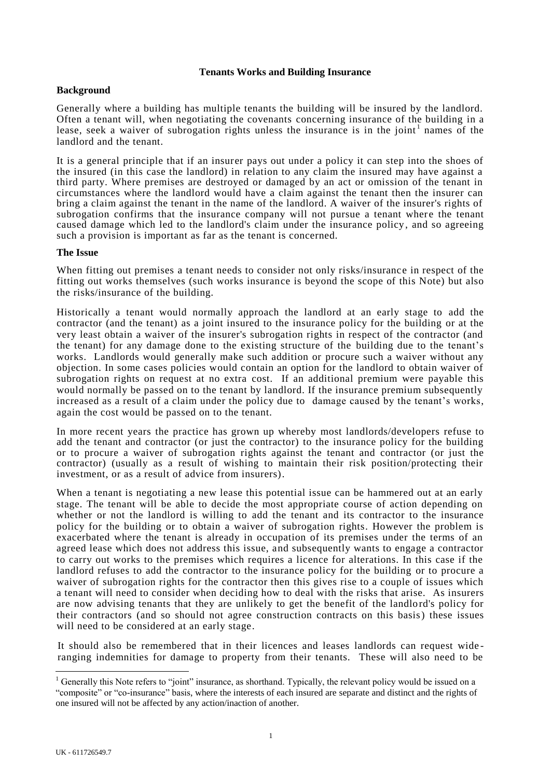## **Tenants Works and Building Insurance**

## **Background**

Generally where a building has multiple tenants the building will be insured by the landlord. Often a tenant will, when negotiating the covenants concerning insurance of the building in a lease, seek a waiver of subrogation rights unless the insurance is in the joint<sup>1</sup> names of the landlord and the tenant.

It is a general principle that if an insurer pays out under a policy it can step into the shoes of the insured (in this case the landlord) in relation to any claim the insured may have against a third party. Where premises are destroyed or damaged by an act or omission of the tenant in circumstances where the landlord would have a claim against the tenant then the insurer can bring a claim against the tenant in the name of the landlord. A waiver of the insurer's rights of subrogation confirms that the insurance company will not pursue a tenant where the tenant caused damage which led to the landlord's claim under the insurance policy, and so agreeing such a provision is important as far as the tenant is concerned.

## **The Issue**

When fitting out premises a tenant needs to consider not only risks/insurance in respect of the fitting out works themselves (such works insurance is beyond the scope of this Note) but also the risks/insurance of the building.

Historically a tenant would normally approach the landlord at an early stage to add the contractor (and the tenant) as a joint insured to the insurance policy for the building or at the very least obtain a waiver of the insurer's subrogation rights in respect of the contractor (and the tenant) for any damage done to the existing structure of the building due to the tenant's works. Landlords would generally make such addition or procure such a waiver without any objection. In some cases policies would contain an option for the landlord to obtain waiver of subrogation rights on request at no extra cost. If an additional premium were payable this would normally be passed on to the tenant by landlord. If the insurance premium subsequently increased as a result of a claim under the policy due to damage caused by the tenant's works, again the cost would be passed on to the tenant.

In more recent years the practice has grown up whereby most landlords/developers refuse to add the tenant and contractor (or just the contractor) to the insurance policy for the building or to procure a waiver of subrogation rights against the tenant and contractor (or just the contractor) (usually as a result of wishing to maintain their risk position/protecting their investment, or as a result of advice from insurers).

When a tenant is negotiating a new lease this potential issue can be hammered out at an early stage. The tenant will be able to decide the most appropriate course of action depending on whether or not the landlord is willing to add the tenant and its contractor to the insurance policy for the building or to obtain a waiver of subrogation rights. However the problem is exacerbated where the tenant is already in occupation of its premises under the terms of an agreed lease which does not address this issue, and subsequently wants to engage a contractor to carry out works to the premises which requires a licence for alterations. In this case if the landlord refuses to add the contractor to the insurance policy for the building or to procure a waiver of subrogation rights for the contractor then this gives rise to a couple of issues which a tenant will need to consider when deciding how to deal with the risks that arise. As insurers are now advising tenants that they are unlikely to get the benefit of the landlo rd's policy for their contractors (and so should not agree construction contracts on this basis) these issues will need to be considered at an early stage.

It should also be remembered that in their licences and leases landlords can request wide ranging indemnities for damage to property from their tenants. These will also need to be

 $\overline{a}$ 

<sup>&</sup>lt;sup>1</sup> Generally this Note refers to "joint" insurance, as shorthand. Typically, the relevant policy would be issued on a "composite" or "co-insurance" basis, where the interests of each insured are separate and distinct and the rights of one insured will not be affected by any action/inaction of another.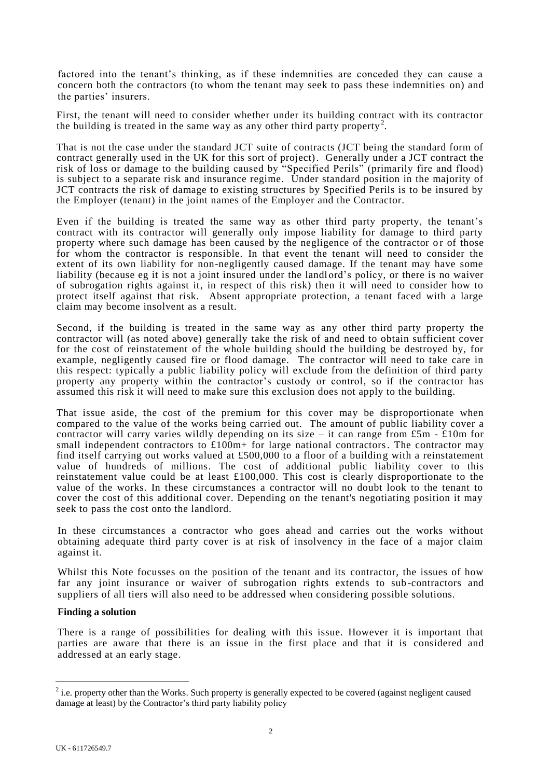factored into the tenant's thinking, as if these indemnities are conceded they can cause a concern both the contractors (to whom the tenant may seek to pass these indemnities on) and the parties' insurers.

First, the tenant will need to consider whether under its building contract with its contractor the building is treated in the same way as any other third party property<sup>2</sup>.

That is not the case under the standard JCT suite of contracts (JCT being the standard form of contract generally used in the UK for this sort of project). Generally under a JCT contract the risk of loss or damage to the building caused by "Specified Perils" (primarily fire and flood) is subject to a separate risk and insurance regime. Under standard position in the majority of JCT contracts the risk of damage to existing structures by Specified Perils is to be insured by the Employer (tenant) in the joint names of the Employer and the Contractor.

Even if the building is treated the same way as other third party property, the tenant's contract with its contractor will generally only impose liability for damage to third party property where such damage has been caused by the negligence of the contractor or of those for whom the contractor is responsible. In that event the tenant will need to consider the extent of its own liability for non-negligently caused damage. If the tenant may have some liability (because eg it is not a joint insured under the landlord's policy, or there is no waiver of subrogation rights against it, in respect of this risk) then it will need to consider how to protect itself against that risk. Absent appropriate protection, a tenant faced with a large claim may become insolvent as a result.

Second, if the building is treated in the same way as any other third party property the contractor will (as noted above) generally take the risk of and need to obtain sufficient cover for the cost of reinstatement of the whole building should the building be destroyed by, for example, negligently caused fire or flood damage. The contractor will need to take care in this respect: typically a public liability policy will exclude from the definition of third party property any property within the contractor's custody or control, so if the contractor has assumed this risk it will need to make sure this exclusion does not apply to the building.

That issue aside, the cost of the premium for this cover may be disproportionate when compared to the value of the works being carried out. The amount of public liability cover a contractor will carry varies wildly depending on its size – it can range from £5m  $\text{-}$  £10m for small independent contractors to  $\text{\pounds}100m+$  for large national contractors. The contractor may find itself carrying out works valued at £500,000 to a floor of a buildin g with a reinstatement value of hundreds of millions. The cost of additional public liability cover to this reinstatement value could be at least £100,000. This cost is clearly disproportionate to the value of the works. In these circumstances a contractor will no doubt look to the tenant to cover the cost of this additional cover. Depending on the tenant's negotiating position it may seek to pass the cost onto the landlord.

In these circumstances a contractor who goes ahead and carries out the works without obtaining adequate third party cover is at risk of insolvency in the face of a major claim against it.

Whilst this Note focusses on the position of the tenant and its contractor, the issues of how far any joint insurance or waiver of subrogation rights extends to sub -contractors and suppliers of all tiers will also need to be addressed when considering possible solutions.

## **Finding a solution**

There is a range of possibilities for dealing with this issue. However it is important that parties are aware that there is an issue in the first place and that it is considered and addressed at an early stage.

 $\overline{a}$ 

 $2^{2}$  i.e. property other than the Works. Such property is generally expected to be covered (against negligent caused damage at least) by the Contractor's third party liability policy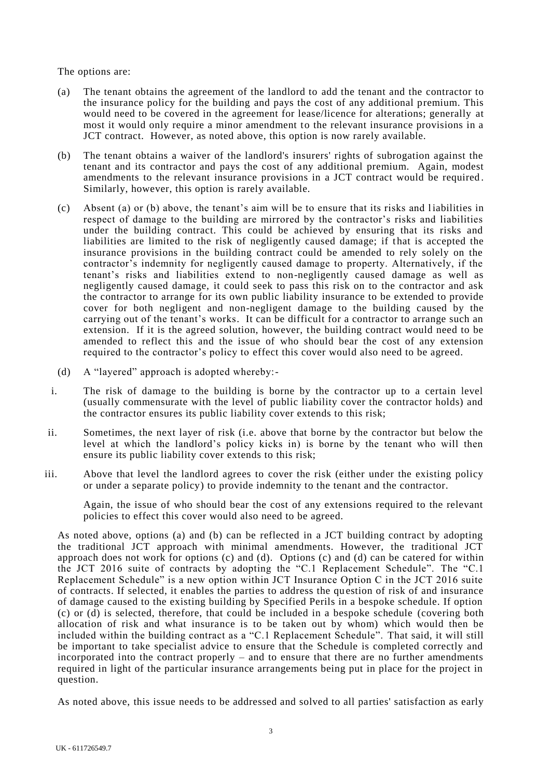The options are:

- (a) The tenant obtains the agreement of the landlord to add the tenant and the contractor to the insurance policy for the building and pays the cost of any additional premium. This would need to be covered in the agreement for lease/licence for alterations; generally at most it would only require a minor amendment to the relevant insurance provisions in a JCT contract. However, as noted above, this option is now rarely available.
- (b) The tenant obtains a waiver of the landlord's insurers' rights of subrogation against the tenant and its contractor and pays the cost of any additional premium. Again, modest amendments to the relevant insurance provisions in a JCT contract would be required . Similarly, however, this option is rarely available.
- (c) Absent (a) or (b) above, the tenant's aim will be to ensure that its risks and l iabilities in respect of damage to the building are mirrored by the contractor's risks and liabilities under the building contract. This could be achieved by ensuring that its risks and liabilities are limited to the risk of negligently caused damage; if t hat is accepted the insurance provisions in the building contract could be amended to rely solely on the contractor's indemnity for negligently caused damage to property. Alternatively, if the tenant's risks and liabilities extend to non-negligently caused damage as well as negligently caused damage, it could seek to pass this risk on to the contractor and ask the contractor to arrange for its own public liability insurance to be extended to provide cover for both negligent and non-negligent damage to the building caused by the carrying out of the tenant's works. It can be difficult for a contractor to arrange such an extension. If it is the agreed solution, however, the building contract would need to be amended to reflect this and the issue of who should bear the cost of any extension required to the contractor's policy to effect this cover would also need to be agreed.
- (d) A "layered" approach is adopted whereby:-
- i. The risk of damage to the building is borne by the contractor up to a certain level (usually commensurate with the level of public liability cover the contractor holds) and the contractor ensures its public liability cover extends to this risk;
- ii. Sometimes, the next layer of risk (i.e. above that borne by the contractor but below the level at which the landlord's policy kicks in) is borne by the tenant who will then ensure its public liability cover extends to this risk;
- iii. Above that level the landlord agrees to cover the risk (either under the existing policy or under a separate policy) to provide indemnity to the tenant and the contractor.

Again, the issue of who should bear the cost of any extensions required to the relevant policies to effect this cover would also need to be agreed.

As noted above, options (a) and (b) can be reflected in a JCT building contract by adopting the traditional JCT approach with minimal amendments. However, the traditional JCT approach does not work for options  $(c)$  and  $(d)$ . Options  $(c)$  and  $(d)$  can be catered for within the JCT 2016 suite of contracts by adopting the "C.1 Replacement Schedule". The "C.1 Replacement Schedule" is a new option within JCT Insurance Option C in the JCT 2016 suite of contracts. If selected, it enables the parties to address the qu estion of risk of and insurance of damage caused to the existing building by Specified Perils in a bespoke schedule. If option (c) or (d) is selected, therefore, that could be included in a bespoke schedule (covering both allocation of risk and what insurance is to be taken out by whom) which would then be included within the building contract as a "C.1 Replacement Schedule". That said, it will still be important to take specialist advice to ensure that the Schedule is completed correctly and incorporated into the contract properly – and to ensure that there are no further amendments required in light of the particular insurance arrangements being put in place for the project in question.

As noted above, this issue needs to be addressed and solved to all parties' satisfaction as early